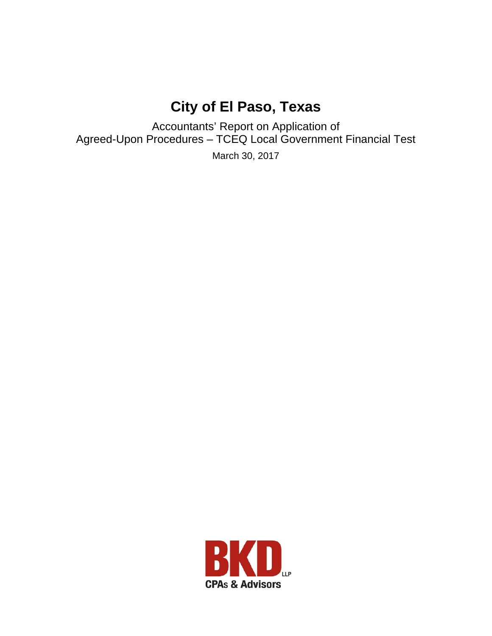# **City of El Paso, Texas**

Accountants' Report on Application of Agreed-Upon Procedures – TCEQ Local Government Financial Test

March 30, 2017

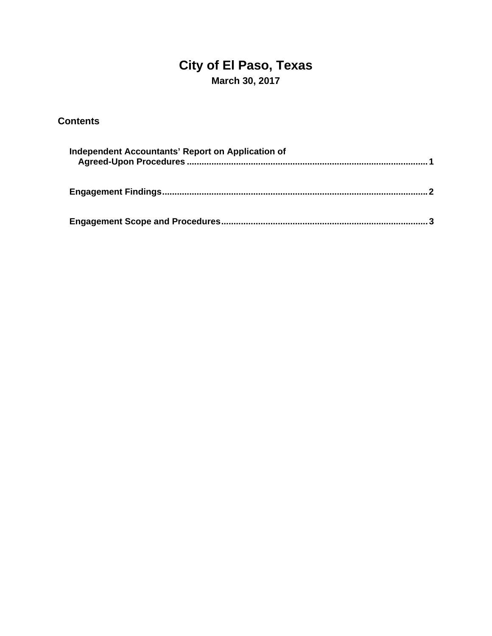# **City of El Paso, Texas March 30, 2017**

### **Contents**

| Independent Accountants' Report on Application of |  |
|---------------------------------------------------|--|
|                                                   |  |
|                                                   |  |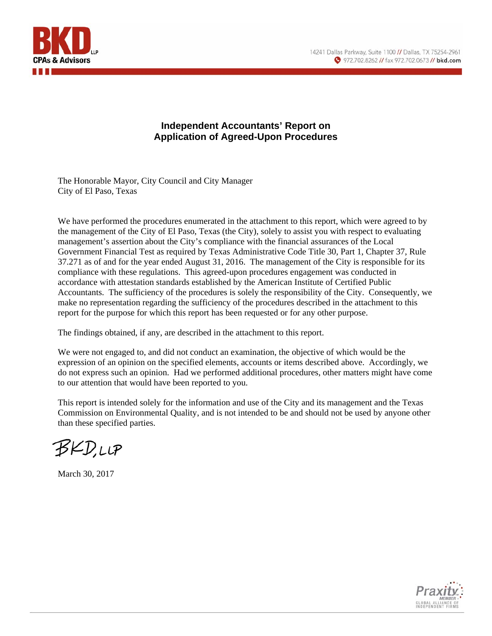

#### **Independent Accountants' Report on Application of Agreed-Upon Procedures**

The Honorable Mayor, City Council and City Manager City of El Paso, Texas

We have performed the procedures enumerated in the attachment to this report, which were agreed to by the management of the City of El Paso, Texas (the City), solely to assist you with respect to evaluating management's assertion about the City's compliance with the financial assurances of the Local Government Financial Test as required by Texas Administrative Code Title 30, Part 1, Chapter 37, Rule 37.271 as of and for the year ended August 31, 2016. The management of the City is responsible for its compliance with these regulations. This agreed-upon procedures engagement was conducted in accordance with attestation standards established by the American Institute of Certified Public Accountants. The sufficiency of the procedures is solely the responsibility of the City. Consequently, we make no representation regarding the sufficiency of the procedures described in the attachment to this report for the purpose for which this report has been requested or for any other purpose.

The findings obtained, if any, are described in the attachment to this report.

We were not engaged to, and did not conduct an examination, the objective of which would be the expression of an opinion on the specified elements, accounts or items described above. Accordingly, we do not express such an opinion. Had we performed additional procedures, other matters might have come to our attention that would have been reported to you.

This report is intended solely for the information and use of the City and its management and the Texas Commission on Environmental Quality, and is not intended to be and should not be used by anyone other than these specified parties.

BKD,LLP

March 30, 2017

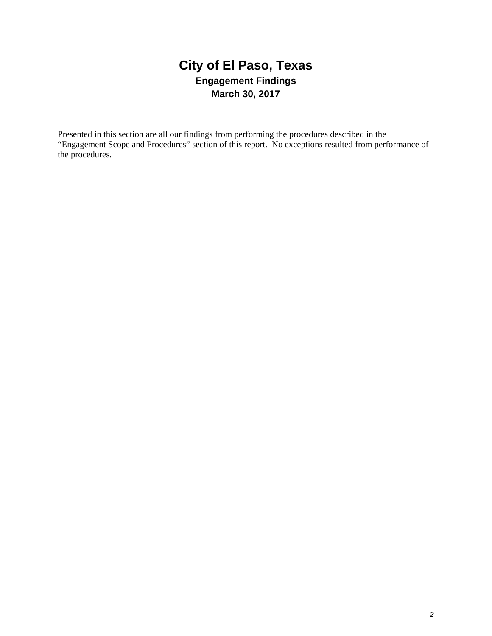# **City of El Paso, Texas Engagement Findings March 30, 2017**

Presented in this section are all our findings from performing the procedures described in the "Engagement Scope and Procedures" section of this report. No exceptions resulted from performance of the procedures.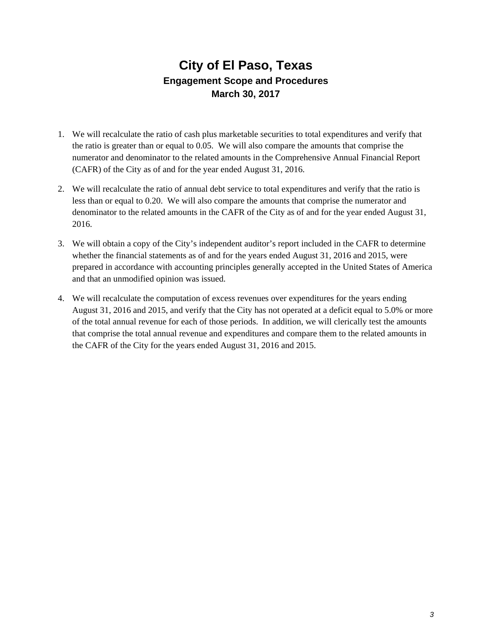## **City of El Paso, Texas Engagement Scope and Procedures March 30, 2017**

- 1. We will recalculate the ratio of cash plus marketable securities to total expenditures and verify that the ratio is greater than or equal to 0.05. We will also compare the amounts that comprise the numerator and denominator to the related amounts in the Comprehensive Annual Financial Report (CAFR) of the City as of and for the year ended August 31, 2016.
- 2. We will recalculate the ratio of annual debt service to total expenditures and verify that the ratio is less than or equal to 0.20. We will also compare the amounts that comprise the numerator and denominator to the related amounts in the CAFR of the City as of and for the year ended August 31, 2016.
- 3. We will obtain a copy of the City's independent auditor's report included in the CAFR to determine whether the financial statements as of and for the years ended August 31, 2016 and 2015, were prepared in accordance with accounting principles generally accepted in the United States of America and that an unmodified opinion was issued.
- 4. We will recalculate the computation of excess revenues over expenditures for the years ending August 31, 2016 and 2015, and verify that the City has not operated at a deficit equal to 5.0% or more of the total annual revenue for each of those periods. In addition, we will clerically test the amounts that comprise the total annual revenue and expenditures and compare them to the related amounts in the CAFR of the City for the years ended August 31, 2016 and 2015.